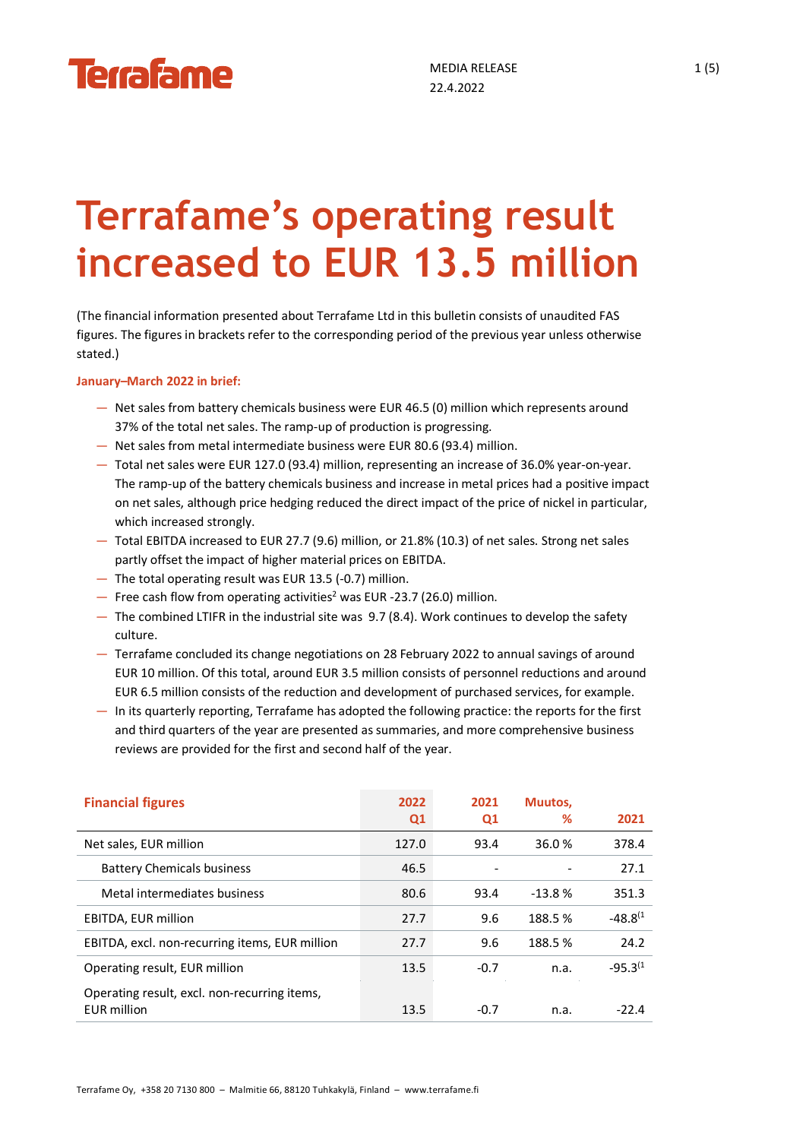# **Terrafame's operating result increased to EUR 13.5 million**

(The financial information presented about Terrafame Ltd in this bulletin consists of unaudited FAS figures. The figures in brackets refer to the corresponding period of the previous year unless otherwise stated.)

**January–March 2022 in brief:**

- Net sales from battery chemicals business were EUR 46.5 (0) million which represents around 37% of the total net sales. The ramp-up of production is progressing.
- Net sales from metal intermediate business were EUR 80.6 (93.4) million.
- Total net sales were EUR 127.0 (93.4) million, representing an increase of 36.0% year-on-year. The ramp-up of the battery chemicals business and increase in metal prices had a positive impact on net sales, although price hedging reduced the direct impact of the price of nickel in particular, which increased strongly.
- Total EBITDA increased to EUR 27.7 (9.6) million, or 21.8% (10.3) of net sales. Strong net sales partly offset the impact of higher material prices on EBITDA.
- The total operating result was EUR 13.5 (-0.7) million.
- $-$  Free cash flow from operating activities<sup>2</sup> was EUR -23.7 (26.0) million.
- The combined LTIFR in the industrial site was 9.7 (8.4). Work continues to develop the safety culture.
- Terrafame concluded its change negotiations on 28 February 2022 to annual savings of around EUR 10 million. Of this total, around EUR 3.5 million consists of personnel reductions and around EUR 6.5 million consists of the reduction and development of purchased services, for example.
- In its quarterly reporting, Terrafame has adopted the following practice: the reports for the first and third quarters of the year are presented as summaries, and more comprehensive business reviews are provided for the first and second half of the year.

| <b>Financial figures</b>                                           | 2022<br>Q <sub>1</sub> | 2021<br>Q1               | Muutos,<br>℅ | 2021          |
|--------------------------------------------------------------------|------------------------|--------------------------|--------------|---------------|
| Net sales, EUR million                                             | 127.0                  | 93.4                     | 36.0%        | 378.4         |
| <b>Battery Chemicals business</b>                                  | 46.5                   | $\overline{\phantom{a}}$ |              | 27.1          |
| Metal intermediates business                                       | 80.6                   | 93.4                     | $-13.8%$     | 351.3         |
| EBITDA, EUR million                                                | 27.7                   | 9.6                      | 188.5%       | $-48.8^{(1)}$ |
| EBITDA, excl. non-recurring items, EUR million                     | 27.7                   | 9.6                      | 188.5%       | 24.2          |
| Operating result, EUR million                                      | 13.5                   | $-0.7$                   | n.a.         | $-95.3^{(1)}$ |
| Operating result, excl. non-recurring items,<br><b>EUR</b> million | 13.5                   | $-0.7$                   | n.a.         | -22.4         |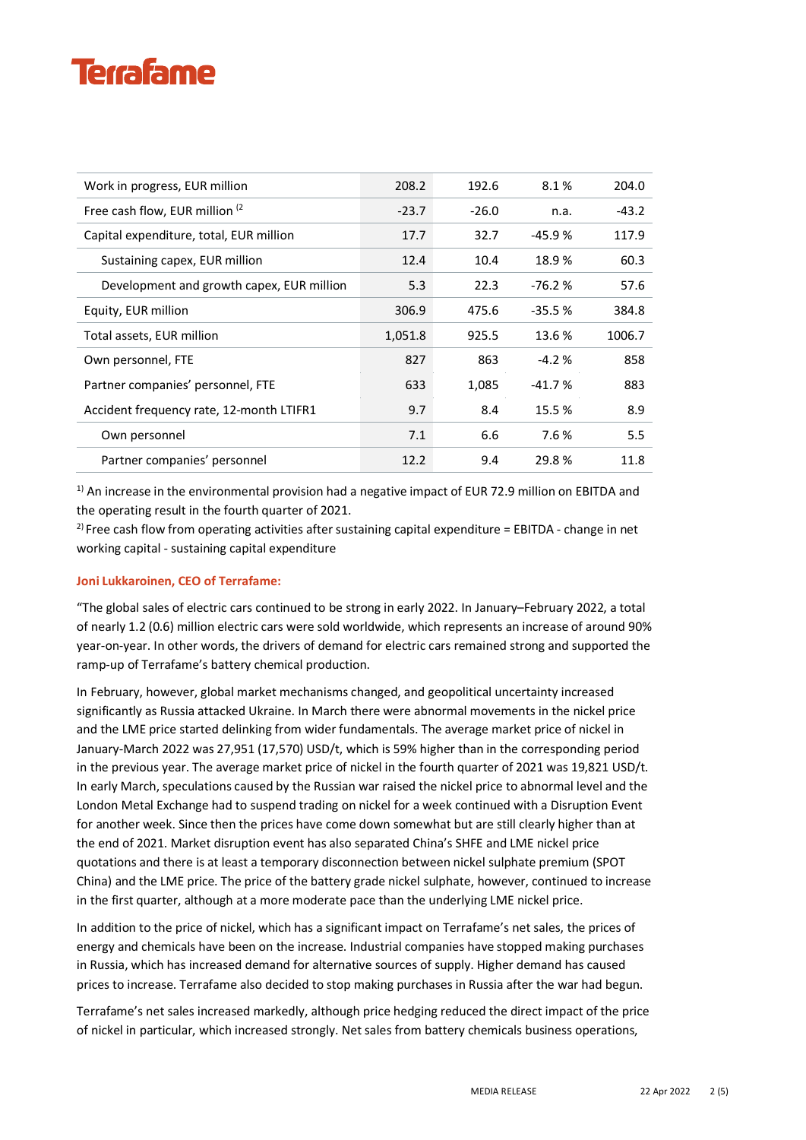## **Terrafame**

| Work in progress, EUR million             | 208.2   | 192.6   | 8.1%     | 204.0   |
|-------------------------------------------|---------|---------|----------|---------|
| Free cash flow, EUR million (2)           | $-23.7$ | $-26.0$ | n.a.     | $-43.2$ |
| Capital expenditure, total, EUR million   | 17.7    | 32.7    | $-45.9%$ | 117.9   |
| Sustaining capex, EUR million             | 12.4    | 10.4    | 18.9%    | 60.3    |
| Development and growth capex, EUR million | 5.3     | 22.3    | $-76.2%$ | 57.6    |
| Equity, EUR million                       | 306.9   | 475.6   | $-35.5%$ | 384.8   |
| Total assets, EUR million                 | 1,051.8 | 925.5   | 13.6 %   | 1006.7  |
| Own personnel, FTE                        | 827     | 863     | $-4.2%$  | 858     |
| Partner companies' personnel, FTE         | 633     | 1,085   | $-41.7%$ | 883     |
| Accident frequency rate, 12-month LTIFR1  | 9.7     | 8.4     | 15.5 %   | 8.9     |
| Own personnel                             | 7.1     | 6.6     | 7.6 %    | 5.5     |
| Partner companies' personnel              | 12.2    | 9.4     | 29.8 %   | 11.8    |

 $1)$  An increase in the environmental provision had a negative impact of EUR 72.9 million on EBITDA and the operating result in the fourth quarter of 2021.

 $2)$  Free cash flow from operating activities after sustaining capital expenditure = EBITDA - change in net working capital - sustaining capital expenditure

#### **Joni Lukkaroinen, CEO of Terrafame:**

"The global sales of electric cars continued to be strong in early 2022. In January–February 2022, a total of nearly 1.2 (0.6) million electric cars were sold worldwide, which represents an increase of around 90% year-on-year. In other words, the drivers of demand for electric cars remained strong and supported the ramp-up of Terrafame's battery chemical production.

In February, however, global market mechanisms changed, and geopolitical uncertainty increased significantly as Russia attacked Ukraine. In March there were abnormal movements in the nickel price and the LME price started delinking from wider fundamentals. The average market price of nickel in January-March 2022 was 27,951 (17,570) USD/t, which is 59% higher than in the corresponding period in the previous year. The average market price of nickel in the fourth quarter of 2021 was 19,821 USD/t. In early March, speculations caused by the Russian war raised the nickel price to abnormal level and the London Metal Exchange had to suspend trading on nickel for a week continued with a Disruption Event for another week. Since then the prices have come down somewhat but are still clearly higher than at the end of 2021. Market disruption event has also separated China's SHFE and LME nickel price quotations and there is at least a temporary disconnection between nickel sulphate premium (SPOT China) and the LME price. The price of the battery grade nickel sulphate, however, continued to increase in the first quarter, although at a more moderate pace than the underlying LME nickel price.

In addition to the price of nickel, which has a significant impact on Terrafame's net sales, the prices of energy and chemicals have been on the increase. Industrial companies have stopped making purchases in Russia, which has increased demand for alternative sources of supply. Higher demand has caused prices to increase. Terrafame also decided to stop making purchases in Russia after the war had begun.

Terrafame's net sales increased markedly, although price hedging reduced the direct impact of the price of nickel in particular, which increased strongly. Net sales from battery chemicals business operations,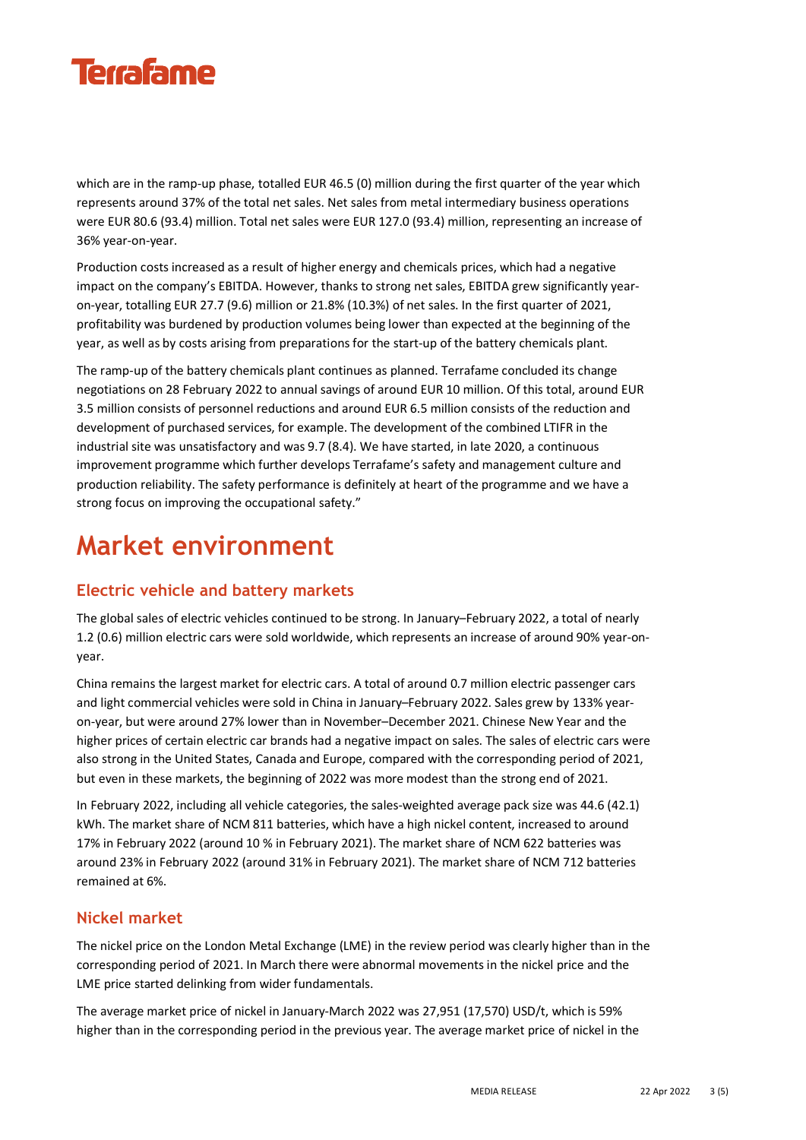

which are in the ramp-up phase, totalled EUR 46.5 (0) million during the first quarter of the year which represents around 37% of the total net sales. Net sales from metal intermediary business operations were EUR 80.6 (93.4) million. Total net sales were EUR 127.0 (93.4) million, representing an increase of 36% year-on-year.

Production costs increased as a result of higher energy and chemicals prices, which had a negative impact on the company's EBITDA. However, thanks to strong net sales, EBITDA grew significantly yearon-year, totalling EUR 27.7 (9.6) million or 21.8% (10.3%) of net sales. In the first quarter of 2021, profitability was burdened by production volumes being lower than expected at the beginning of the year, as well as by costs arising from preparations for the start-up of the battery chemicals plant.

The ramp-up of the battery chemicals plant continues as planned. Terrafame concluded its change negotiations on 28 February 2022 to annual savings of around EUR 10 million. Of this total, around EUR 3.5 million consists of personnel reductions and around EUR 6.5 million consists of the reduction and development of purchased services, for example. The development of the combined LTIFR in the industrial site was unsatisfactory and was 9.7 (8.4). We have started, in late 2020, a continuous improvement programme which further develops Terrafame's safety and management culture and production reliability. The safety performance is definitely at heart of the programme and we have a strong focus on improving the occupational safety."

### **Market environment**

#### **Electric vehicle and battery markets**

The global sales of electric vehicles continued to be strong. In January–February 2022, a total of nearly 1.2 (0.6) million electric cars were sold worldwide, which represents an increase of around 90% year-onyear.

China remains the largest market for electric cars. A total of around 0.7 million electric passenger cars and light commercial vehicles were sold in China in January–February 2022. Sales grew by 133% yearon-year, but were around 27% lower than in November–December 2021. Chinese New Year and the higher prices of certain electric car brands had a negative impact on sales. The sales of electric cars were also strong in the United States, Canada and Europe, compared with the corresponding period of 2021, but even in these markets, the beginning of 2022 was more modest than the strong end of 2021.

In February 2022, including all vehicle categories, the sales-weighted average pack size was 44.6 (42.1) kWh. The market share of NCM 811 batteries, which have a high nickel content, increased to around 17% in February 2022 (around 10 % in February 2021). The market share of NCM 622 batteries was around 23% in February 2022 (around 31% in February 2021). The market share of NCM 712 batteries remained at 6%.

#### **Nickel market**

The nickel price on the London Metal Exchange (LME) in the review period was clearly higher than in the corresponding period of 2021. In March there were abnormal movements in the nickel price and the LME price started delinking from wider fundamentals.

The average market price of nickel in January-March 2022 was 27,951 (17,570) USD/t, which is 59% higher than in the corresponding period in the previous year. The average market price of nickel in the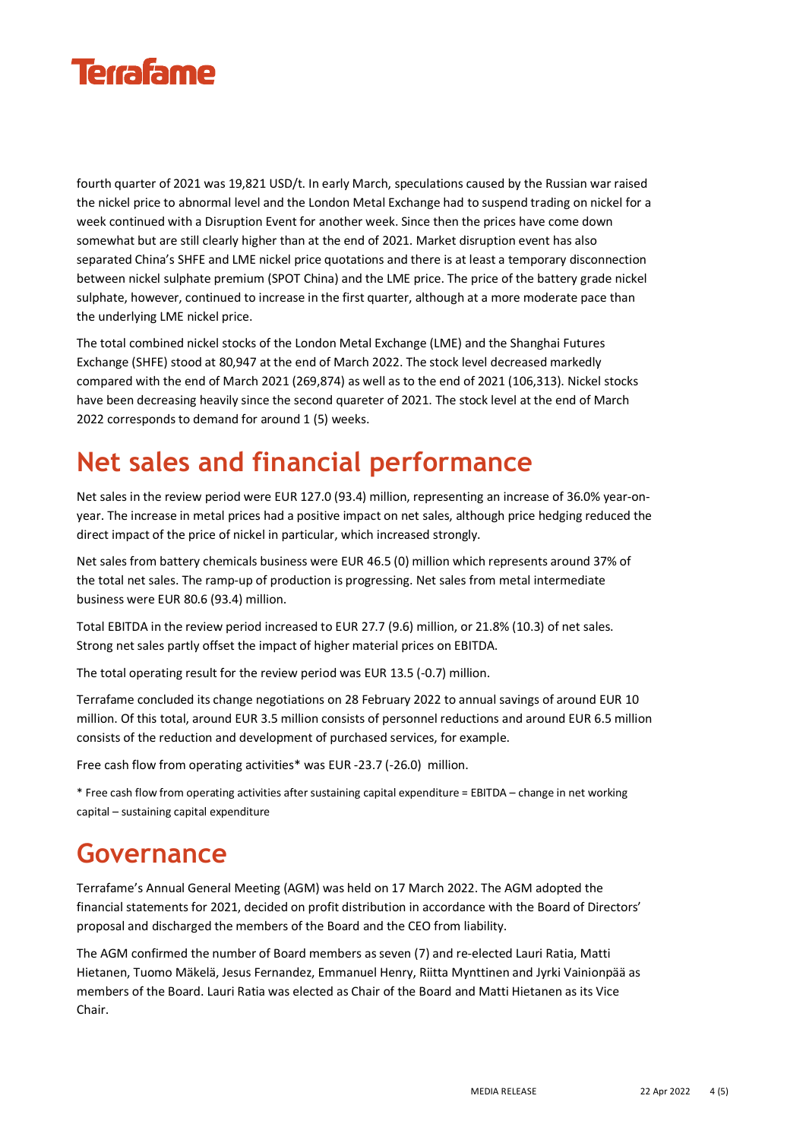

fourth quarter of 2021 was 19,821 USD/t. In early March, speculations caused by the Russian war raised the nickel price to abnormal level and the London Metal Exchange had to suspend trading on nickel for a week continued with a Disruption Event for another week. Since then the prices have come down somewhat but are still clearly higher than at the end of 2021. Market disruption event has also separated China's SHFE and LME nickel price quotations and there is at least a temporary disconnection between nickel sulphate premium (SPOT China) and the LME price. The price of the battery grade nickel sulphate, however, continued to increase in the first quarter, although at a more moderate pace than the underlying LME nickel price.

The total combined nickel stocks of the London Metal Exchange (LME) and the Shanghai Futures Exchange (SHFE) stood at 80,947 at the end of March 2022. The stock level decreased markedly compared with the end of March 2021 (269,874) as well as to the end of 2021 (106,313). Nickel stocks have been decreasing heavily since the second quareter of 2021. The stock level at the end of March 2022 corresponds to demand for around 1 (5) weeks.

### **Net sales and financial performance**

Net sales in the review period were EUR 127.0 (93.4) million, representing an increase of 36.0% year-onyear. The increase in metal prices had a positive impact on net sales, although price hedging reduced the direct impact of the price of nickel in particular, which increased strongly.

Net sales from battery chemicals business were EUR 46.5 (0) million which represents around 37% of the total net sales. The ramp-up of production is progressing. Net sales from metal intermediate business were EUR 80.6 (93.4) million.

Total EBITDA in the review period increased to EUR 27.7 (9.6) million, or 21.8% (10.3) of net sales. Strong net sales partly offset the impact of higher material prices on EBITDA.

The total operating result for the review period was EUR 13.5 (-0.7) million.

Terrafame concluded its change negotiations on 28 February 2022 to annual savings of around EUR 10 million. Of this total, around EUR 3.5 million consists of personnel reductions and around EUR 6.5 million consists of the reduction and development of purchased services, for example.

Free cash flow from operating activities\* was EUR -23.7 (-26.0) million.

\* Free cash flow from operating activities after sustaining capital expenditure = EBITDA – change in net working capital – sustaining capital expenditure

#### **Governance**

Terrafame's Annual General Meeting (AGM) was held on 17 March 2022. The AGM adopted the financial statements for 2021, decided on profit distribution in accordance with the Board of Directors' proposal and discharged the members of the Board and the CEO from liability.

The AGM confirmed the number of Board members as seven (7) and re-elected Lauri Ratia, Matti Hietanen, Tuomo Mäkelä, Jesus Fernandez, Emmanuel Henry, Riitta Mynttinen and Jyrki Vainionpää as members of the Board. Lauri Ratia was elected as Chair of the Board and Matti Hietanen as its Vice Chair.